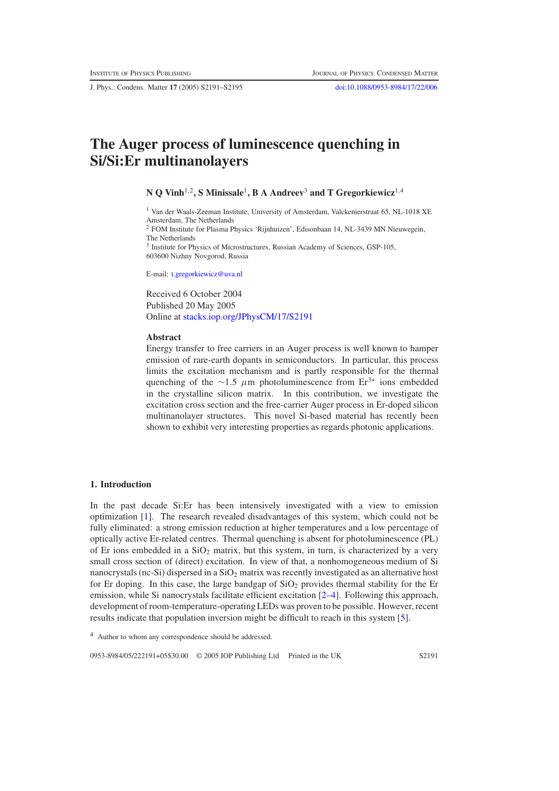J. Phys.: Condens. Matter **17** (2005) S2191–S2195 [doi:10.1088/0953-8984/17/22/006](http://dx.doi.org/10.1088/0953-8984/17/22/006)

# **The Auger process of luminescence quenching in Si/Si:Er multinanolayers**

**N Q Vinh**1,2**, S Minissale**1**,BAAndreev**<sup>3</sup> **and T Gregorkiewicz**1,<sup>4</sup>

<sup>1</sup> Van der Waals-Zeeman Institute, University of Amsterdam, Valckenierstraat 65, NL-1018 XE Amsterdam, The Netherlands <sup>2</sup> FOM Institute for Plasma Physics 'Rijnhuizen', Edisonbaan 14, NL-3439 MN Nieuwegein, The Netherlands <sup>3</sup> Institute for Physics of Microstructures, Russian Academy of Sciences, GSP-105,

E-mail: [t.gregorkiewicz@uva.nl](mailto:t.gregorkiewicz@uva.nl)

603600 Nizhny Novgorod, Russia

Received 6 October 2004 Published 20 May 2005 Online at [stacks.iop.org/JPhysCM/17/S2191](http://stacks.iop.org/JPhysCM/17/S2191)

#### **Abstract**

Energy transfer to free carriers in an Auger process is well known to hamper emission of rare-earth dopants in semiconductors. In particular, this process limits the excitation mechanism and is partly responsible for the thermal quenching of the ∼1.5  $\mu$ m photoluminescence from Er<sup>3+</sup> ions embedded in the crystalline silicon matrix. In this contribution, we investigate the excitation cross section and the free-carrier Auger process in Er-doped silicon multinanolayer structures. This novel Si-based material has recently been shown to exhibit very interesting properties as regards photonic applications.

## **1. Introduction**

In the past decade Si:Er has been intensively investigated with a view to emission optimization [\[1\]](#page-4-0). The research revealed disadvantages of this system, which could not be fully eliminated: a strong emission reduction at higher temperatures and a low percentage of optically active Er-related centres. Thermal quenching is absent for photoluminescence (PL) of Er ions embedded in a  $SiO<sub>2</sub>$  matrix, but this system, in turn, is characterized by a very small cross section of (direct) excitation. In view of that, a nonhomogeneous medium of Si nanocrystals (nc-Si) dispersed in a  $SiO<sub>2</sub>$  matrix was recently investigated as an alternative host for Er doping. In this case, the large bandgap of  $SiO<sub>2</sub>$  provides thermal stability for the Er emission, while Si nanocrystals facilitate efficient excitation  $[2-4]$ . Following this approach, development of room-temperature-operating LEDs was proven to be possible. However, recent results indicate that population inversion might be difficult to reach in this system [\[5\]](#page-4-2).

<sup>4</sup> Author to whom any correspondence should be addressed.

0953-8984/05/222191+05\$30.00 © 2005 IOP Publishing Ltd Printed in the UK S2191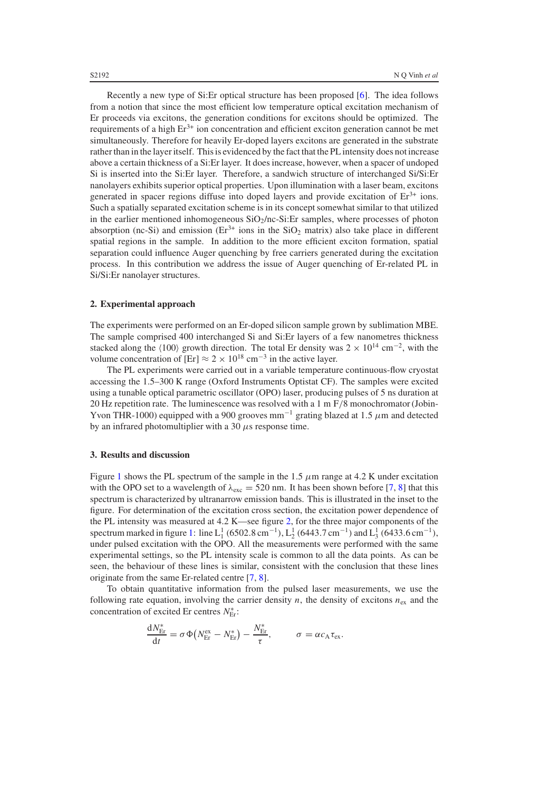Recently a new type of Si:Er optical structure has been proposed [\[6\]](#page-4-3). The idea follows from a notion that since the most efficient low temperature optical excitation mechanism of Er proceeds via excitons, the generation conditions for excitons should be optimized. The requirements of a high  $Er^{3+}$  ion concentration and efficient exciton generation cannot be met simultaneously. Therefore for heavily Er-doped layers excitons are generated in the substrate rather than in the layer itself. This is evidenced by the fact that the PL intensity does not increase above a certain thickness of a Si:Er layer. It does increase, however, when a spacer of undoped Si is inserted into the Si:Er layer. Therefore, a sandwich structure of interchanged Si/Si:Er nanolayers exhibits superior optical properties. Upon illumination with a laser beam, excitons generated in spacer regions diffuse into doped layers and provide excitation of  $Er^{3+}$  ions. Such a spatially separated excitation scheme is in its concept somewhat similar to that utilized in the earlier mentioned inhomogeneous  $SiO<sub>2</sub>/nc-Si:E<sub>r</sub>$  samples, where processes of photon absorption (nc-Si) and emission ( $Er^{3+}$  ions in the SiO<sub>2</sub> matrix) also take place in different spatial regions in the sample. In addition to the more efficient exciton formation, spatial separation could influence Auger quenching by free carriers generated during the excitation process. In this contribution we address the issue of Auger quenching of Er-related PL in Si/Si:Er nanolayer structures.

## **2. Experimental approach**

The experiments were performed on an Er-doped silicon sample grown by sublimation MBE. The sample comprised 400 interchanged Si and Si:Er layers of a few nanometres thickness stacked along the  $\langle 100 \rangle$  growth direction. The total Er density was 2 × 10<sup>14</sup> cm<sup>-2</sup>, with the volume concentration of  $[Er] \approx 2 \times 10^{18} \text{ cm}^{-3}$  in the active layer.

The PL experiments were carried out in a variable temperature continuous-flow cryostat accessing the 1.5–300 K range (Oxford Instruments Optistat CF). The samples were excited using a tunable optical parametric oscillator (OPO) laser, producing pulses of 5 ns duration at 20 Hz repetition rate. The luminescence was resolved with a 1 m F/8 monochromator (Jobin-Yvon THR-1000) equipped with a 900 grooves mm<sup>-1</sup> grating blazed at 1.5  $\mu$ m and detected by an infrared photomultiplier with a 30  $\mu$ s response time.

### **3. Results and discussion**

Figure [1](#page-2-0) shows the PL spectrum of the sample in the 1.5  $\mu$ m range at 4.2 K under excitation with the OPO set to a wavelength of  $\lambda_{\text{exc}} = 520$  nm. It has been shown before [\[7,](#page-4-4) [8\]](#page-4-5) that this spectrum is characterized by ultranarrow emission bands. This is illustrated in the inset to the figure. For determination of the excitation cross section, the excitation power dependence of the PL intensity was measured at 4.2 K—see figure [2,](#page-2-1) for the three major components of the spectrum marked in figure [1:](#page-2-0) line  $L_1^1$  (6502.8 cm<sup>-1</sup>),  $L_2^1$  (6443.7 cm<sup>-1</sup>) and  $L_3^1$  (6433.6 cm<sup>-1</sup>), under pulsed excitation with the OPO. All the measurements were performed with the same experimental settings, so the PL intensity scale is common to all the data points. As can be seen, the behaviour of these lines is similar, consistent with the conclusion that these lines originate from the same Er-related centre [\[7,](#page-4-4) [8\]](#page-4-5).

To obtain quantitative information from the pulsed laser measurements, we use the following rate equation, involving the carrier density  $n$ , the density of excitons  $n_{ex}$  and the concentration of excited Er centres *N*<sup>∗</sup><sub>Er</sub>:

$$
\frac{\mathrm{d}N_{\rm Er}^*}{\mathrm{d}t} = \sigma \Phi \big(N_{\rm Er}^{\rm ex} - N_{\rm Er}^*\big) - \frac{N_{\rm Er}^*}{\tau}, \qquad \sigma = \alpha c_{\rm A} \tau_{\rm ex}.
$$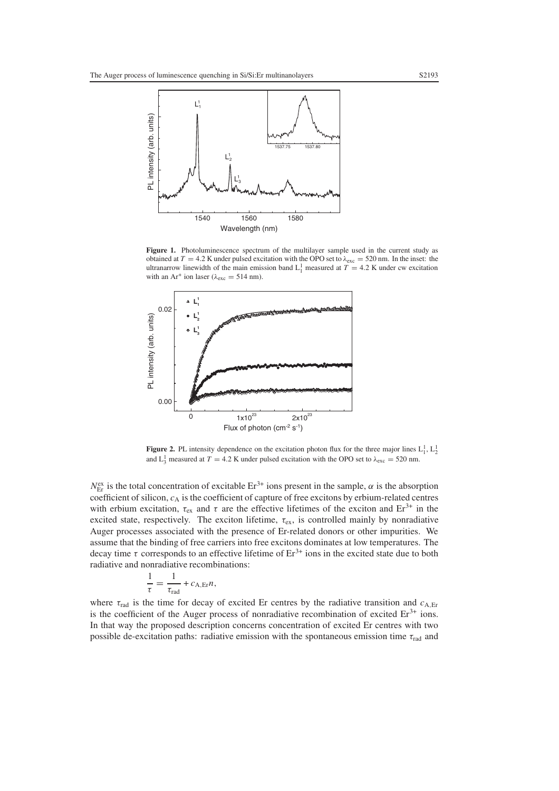<span id="page-2-0"></span>

<span id="page-2-1"></span>**Figure 1.** Photoluminescence spectrum of the multilayer sample used in the current study as obtained at  $T = 4.2$  K under pulsed excitation with the OPO set to  $\lambda_{\text{exc}} = 520$  nm. In the inset: the ultranarrow linewidth of the main emission band  $L_1^1$  measured at  $T = 4.2$  K under cw excitation with an Ar<sup>+</sup> ion laser ( $\lambda_{\text{exc}} = 514$  nm).



**Figure 2.** PL intensity dependence on the excitation photon flux for the three major lines  $L_1^1$ ,  $L_2^1$ and  $L_3^1$  measured at  $T = 4.2$  K under pulsed excitation with the OPO set to  $\lambda_{\text{exc}} = 520$  nm.

 $N_{\text{Er}}^{\text{ex}}$  is the total concentration of excitable  $\text{Er}^{3+}$  ions present in the sample,  $\alpha$  is the absorption coefficient of silicon, *c*<sup>A</sup> is the coefficient of capture of free excitons by erbium-related centres with erbium excitation,  $\tau_{ex}$  and  $\tau$  are the effective lifetimes of the exciton and Er<sup>3+</sup> in the excited state, respectively. The exciton lifetime,  $\tau_{ex}$ , is controlled mainly by nonradiative Auger processes associated with the presence of Er-related donors or other impurities. We assume that the binding of free carriers into free excitons dominates at low temperatures. The decay time  $\tau$  corresponds to an effective lifetime of  $Er^{3+}$  ions in the excited state due to both radiative and nonradiative recombinations:

$$
\frac{1}{\tau} = \frac{1}{\tau_{\text{rad}}} + c_{A,\text{Er}} n,
$$

where  $\tau_{rad}$  is the time for decay of excited Er centres by the radiative transition and  $c_{A,Et}$ is the coefficient of the Auger process of nonradiative recombination of excited  $Er<sup>3+</sup>$  ions. In that way the proposed description concerns concentration of excited Er centres with two possible de-excitation paths: radiative emission with the spontaneous emission time  $\tau_{rad}$  and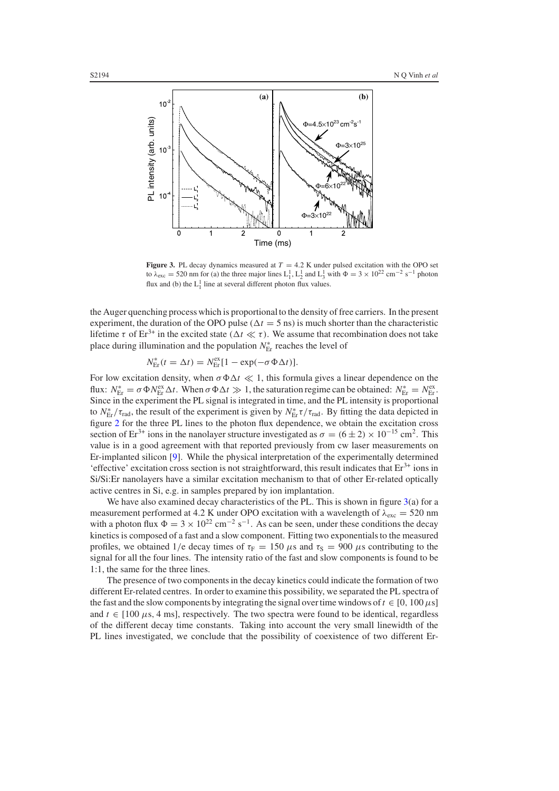<span id="page-3-0"></span>

**Figure 3.** PL decay dynamics measured at  $T = 4.2$  K under pulsed excitation with the OPO set to  $\lambda_{\text{exc}} = 520$  nm for (a) the three major lines  $L_1^1$ ,  $L_2^1$  and  $L_3^1$  with  $\Phi = 3 \times 10^{22}$  cm<sup>-2</sup> s<sup>-1</sup> photon flux and (b) the  $L_1^1$  line at several different photon flux values.

the Auger quenching process which is proportional to the density of free carriers. In the present experiment, the duration of the OPO pulse ( $\Delta t = 5$  ns) is much shorter than the characteristic lifetime  $\tau$  of Er<sup>3+</sup> in the excited state ( $\Delta t \ll \tau$ ). We assume that recombination does not take place during illumination and the population *N*<sup>∗</sup><sub>Er</sub> reaches the level of

$$
N_{\text{Er}}^{*}(t = \Delta t) = N_{\text{Er}}^{\text{ex}}[1 - \exp(-\sigma \Phi \Delta t)].
$$

For low excitation density, when  $\sigma \Phi \Delta t \ll 1$ , this formula gives a linear dependence on the flux:  $N_{\text{Er}}^* = \sigma \Phi N_{\text{Er}}^{\text{ex}} \Delta t$ . When  $\sigma \Phi \Delta t \gg 1$ , the saturation regime can be obtained:  $N_{\text{Er}}^* = N_{\text{Er}}^{\text{ex}}$ . Since in the experiment the PL signal is integrated in time, and the PL intensity is proportional to  $N_{\rm Er}^* / \tau_{\rm rad}$ , the result of the experiment is given by  $N_{\rm Er}^* \tau / \tau_{\rm rad}$ . By fitting the data depicted in figure [2](#page-2-1) for the three PL lines to the photon flux dependence, we obtain the excitation cross section of Er<sup>3+</sup> ions in the nanolayer structure investigated as  $\sigma = (6 \pm 2) \times 10^{-15}$  cm<sup>2</sup>. This value is in a good agreement with that reported previously from cw laser measurements on Er-implanted silicon [\[9\]](#page-4-6). While the physical interpretation of the experimentally determined 'effective' excitation cross section is not straightforward, this result indicates that  $Er<sup>3+</sup>$  ions in Si/Si:Er nanolayers have a similar excitation mechanism to that of other Er-related optically active centres in Si, e.g. in samples prepared by ion implantation.

We have also examined decay characteristics of the PL. This is shown in figure  $3(a)$  $3(a)$  for a measurement performed at 4.2 K under OPO excitation with a wavelength of  $\lambda_{\text{exc}} = 520 \text{ nm}$ with a photon flux  $\Phi = 3 \times 10^{22}$  cm<sup>-2</sup> s<sup>-1</sup>. As can be seen, under these conditions the decay kinetics is composed of a fast and a slow component. Fitting two exponentials to the measured profiles, we obtained 1/e decay times of  $\tau_F = 150 \mu s$  and  $\tau_S = 900 \mu s$  contributing to the signal for all the four lines. The intensity ratio of the fast and slow components is found to be 1:1, the same for the three lines.

The presence of two components in the decay kinetics could indicate the formation of two different Er-related centres. In order to examine this possibility, we separated the PL spectra of the fast and the slow components by integrating the signal over time windows of  $t \in [0, 100 \,\mu s]$ and  $t \in [100 \mu s, 4 \text{ ms}]$ , respectively. The two spectra were found to be identical, regardless of the different decay time constants. Taking into account the very small linewidth of the PL lines investigated, we conclude that the possibility of coexistence of two different Er